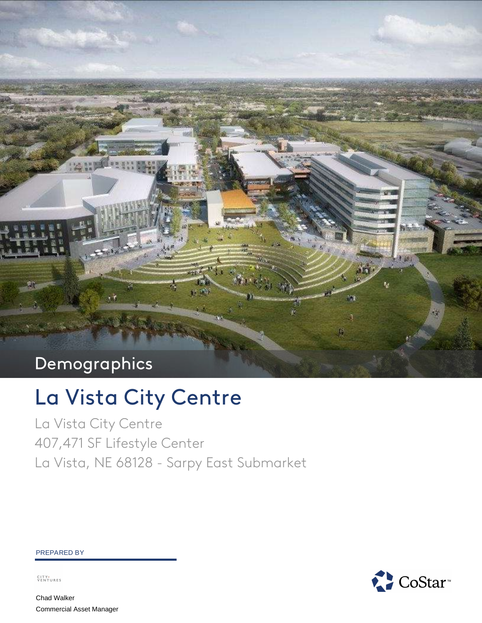# Demographics

# La Vista City Centre

La Vista City Centre 407,471 SF Lifestyle Center La Vista, NE 68128 - Sarpy East Submarket

#### PREPARED BY

CITY+<br>VENTURES

Chad Walker Commercial Asset Manager

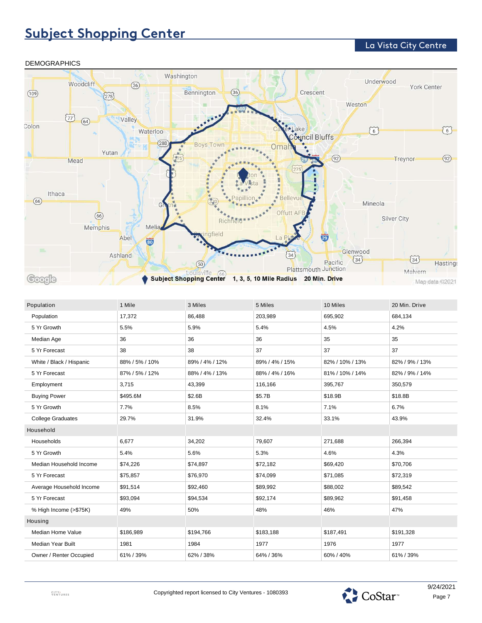### **Subject Shopping Center**

### La Vista City Centre



| Population               | 1 Mile         | 3 Miles        | 5 Miles        | 10 Miles        | 20 Min. Drive  |
|--------------------------|----------------|----------------|----------------|-----------------|----------------|
| Population               | 17,372         | 86,488         | 203,989        | 695,902         | 684,134        |
| 5 Yr Growth              | 5.5%           | 5.9%           | 5.4%           | 4.5%            | 4.2%           |
| Median Age               | 36             | 36             | 36             | 35              | 35             |
| 5 Yr Forecast            | 38             | 38             | 37             | 37              | 37             |
| White / Black / Hispanic | 88% / 5% / 10% | 89% / 4% / 12% | 89% / 4% / 15% | 82% / 10% / 13% | 82% / 9% / 13% |
| 5 Yr Forecast            | 87% / 5% / 12% | 88% / 4% / 13% | 88% / 4% / 16% | 81% / 10% / 14% | 82% / 9% / 14% |
| Employment               | 3,715          | 43,399         | 116,166        | 395,767         | 350,579        |
| <b>Buying Power</b>      | \$495.6M       | \$2.6B         | \$5.7B         | \$18.9B         | \$18.8B        |
| 5 Yr Growth              | 7.7%           | 8.5%           | 8.1%           | 7.1%            | 6.7%           |
| <b>College Graduates</b> | 29.7%          | 31.9%          | 32.4%          | 33.1%           | 43.9%          |
| Household                |                |                |                |                 |                |
| Households               | 6,677          | 34,202         | 79,607         | 271,688         | 266,394        |
| 5 Yr Growth              | 5.4%           | 5.6%           | 5.3%           | 4.6%            | 4.3%           |
| Median Household Income  | \$74,226       | \$74,897       | \$72,182       | \$69,420        | \$70,706       |
| 5 Yr Forecast            | \$75,857       | \$76,970       | \$74,099       | \$71,085        | \$72,319       |
| Average Household Income | \$91,514       | \$92,460       | \$89,992       | \$88,002        | \$89,542       |
| 5 Yr Forecast            | \$93,094       | \$94,534       | \$92,174       | \$89,962        | \$91,458       |
| % High Income (>\$75K)   | 49%            | 50%            | 48%            | 46%             | 47%            |
| Housing                  |                |                |                |                 |                |
| Median Home Value        | \$186,989      | \$194,766      | \$183,188      | \$187,491       | \$191,328      |
| Median Year Built        | 1981           | 1984           | 1977           | 1976            | 1977           |
| Owner / Renter Occupied  | 61% / 39%      | 62% / 38%      | 64% / 36%      | 60% / 40%       | 61% / 39%      |
|                          |                |                |                |                 |                |

#### DEMOGRAPHICS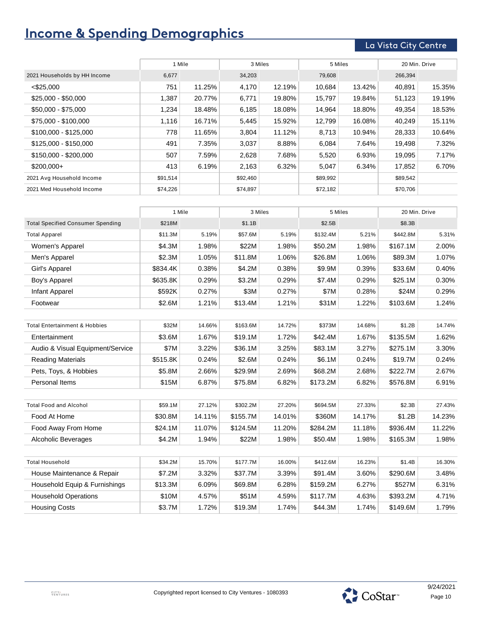# **Income & Spending Demographics**

### La Vista City Centre

|                              | 1 Mile   |        | 3 Miles  |        | 5 Miles  |        | 20 Min. Drive |        |
|------------------------------|----------|--------|----------|--------|----------|--------|---------------|--------|
| 2021 Households by HH Income | 6,677    |        | 34,203   |        | 79,608   |        | 266,394       |        |
| $<$ \$25,000                 | 751      | 11.25% | 4,170    | 12.19% | 10,684   | 13.42% | 40,891        | 15.35% |
| $$25,000 - $50,000$          | 1,387    | 20.77% | 6,771    | 19.80% | 15,797   | 19.84% | 51,123        | 19.19% |
| \$50,000 - \$75,000          | 1,234    | 18.48% | 6,185    | 18.08% | 14,964   | 18.80% | 49,354        | 18.53% |
| \$75,000 - \$100,000         | 1,116    | 16.71% | 5,445    | 15.92% | 12,799   | 16.08% | 40,249        | 15.11% |
| \$100,000 - \$125,000        | 778      | 11.65% | 3,804    | 11.12% | 8,713    | 10.94% | 28,333        | 10.64% |
| \$125,000 - \$150,000        | 491      | 7.35%  | 3,037    | 8.88%  | 6,084    | 7.64%  | 19,498        | 7.32%  |
| \$150,000 - \$200,000        | 507      | 7.59%  | 2,628    | 7.68%  | 5,520    | 6.93%  | 19,095        | 7.17%  |
| $$200,000+$                  | 413      | 6.19%  | 2,163    | 6.32%  | 5,047    | 6.34%  | 17,852        | 6.70%  |
| 2021 Avg Household Income    | \$91,514 |        | \$92,460 |        | \$89,992 |        | \$89,542      |        |
| 2021 Med Household Income    | \$74,226 |        | \$74,897 |        | \$72,182 |        | \$70,706      |        |

|                                          | 1 Mile   |        | 3 Miles  |        | 5 Miles  |        | 20 Min. Drive |        |
|------------------------------------------|----------|--------|----------|--------|----------|--------|---------------|--------|
| <b>Total Specified Consumer Spending</b> | \$218M   |        | \$1.1B   |        | \$2.5B   |        | \$8.3B        |        |
| <b>Total Apparel</b>                     | \$11.3M  | 5.19%  | \$57.6M  | 5.19%  | \$132.4M | 5.21%  | \$442.8M      | 5.31%  |
| Women's Apparel                          | \$4.3M   | 1.98%  | \$22M    | 1.98%  | \$50.2M  | 1.98%  | \$167.1M      | 2.00%  |
| Men's Apparel                            | \$2.3M   | 1.05%  | \$11.8M  | 1.06%  | \$26.8M  | 1.06%  | \$89.3M       | 1.07%  |
| Girl's Apparel                           | \$834.4K | 0.38%  | \$4.2M   | 0.38%  | \$9.9M   | 0.39%  | \$33.6M       | 0.40%  |
| Boy's Apparel                            | \$635.8K | 0.29%  | \$3.2M   | 0.29%  | \$7.4M   | 0.29%  | \$25.1M       | 0.30%  |
| Infant Apparel                           | \$592K   | 0.27%  | \$3M     | 0.27%  | \$7M     | 0.28%  | \$24M         | 0.29%  |
| Footwear                                 | \$2.6M   | 1.21%  | \$13.4M  | 1.21%  | \$31M    | 1.22%  | \$103.6M      | 1.24%  |
| <b>Total Entertainment &amp; Hobbies</b> | \$32M    | 14.66% | \$163.6M | 14.72% | \$373M   | 14.68% | \$1.2B        | 14.74% |
| Entertainment                            | \$3.6M   | 1.67%  | \$19.1M  | 1.72%  | \$42.4M  | 1.67%  | \$135.5M      | 1.62%  |
| Audio & Visual Equipment/Service         | \$7M     | 3.22%  | \$36.1M  | 3.25%  | \$83.1M  | 3.27%  | \$275.1M      | 3.30%  |
| <b>Reading Materials</b>                 | \$515.8K | 0.24%  | \$2.6M   | 0.24%  | \$6.1M   | 0.24%  | \$19.7M       | 0.24%  |
| Pets, Toys, & Hobbies                    | \$5.8M   | 2.66%  | \$29.9M  | 2.69%  | \$68.2M  | 2.68%  | \$222.7M      | 2.67%  |
| Personal Items                           | \$15M    | 6.87%  | \$75.8M  | 6.82%  | \$173.2M | 6.82%  | \$576.8M      | 6.91%  |
| <b>Total Food and Alcohol</b>            | \$59.1M  | 27.12% | \$302.2M | 27.20% | \$694.5M | 27.33% | \$2.3B        | 27.43% |
| Food At Home                             | \$30.8M  | 14.11% | \$155.7M | 14.01% | \$360M   | 14.17% | \$1.2B        | 14.23% |
| Food Away From Home                      | \$24.1M  | 11.07% | \$124.5M | 11.20% | \$284.2M | 11.18% | \$936.4M      | 11.22% |
| Alcoholic Beverages                      | \$4.2M   | 1.94%  | \$22M    | 1.98%  | \$50.4M  | 1.98%  | \$165.3M      | 1.98%  |
|                                          |          |        |          |        |          |        |               |        |
| <b>Total Household</b>                   | \$34.2M  | 15.70% | \$177.7M | 16.00% | \$412.6M | 16.23% | \$1.4B        | 16.30% |
| House Maintenance & Repair               | \$7.2M   | 3.32%  | \$37.7M  | 3.39%  | \$91.4M  | 3.60%  | \$290.6M      | 3.48%  |
| Household Equip & Furnishings            | \$13.3M  | 6.09%  | \$69.8M  | 6.28%  | \$159.2M | 6.27%  | \$527M        | 6.31%  |
| <b>Household Operations</b>              | \$10M    | 4.57%  | \$51M    | 4.59%  | \$117.7M | 4.63%  | \$393.2M      | 4.71%  |
| <b>Housing Costs</b>                     | \$3.7M   | 1.72%  | \$19.3M  | 1.74%  | \$44.3M  | 1.74%  | \$149.6M      | 1.79%  |

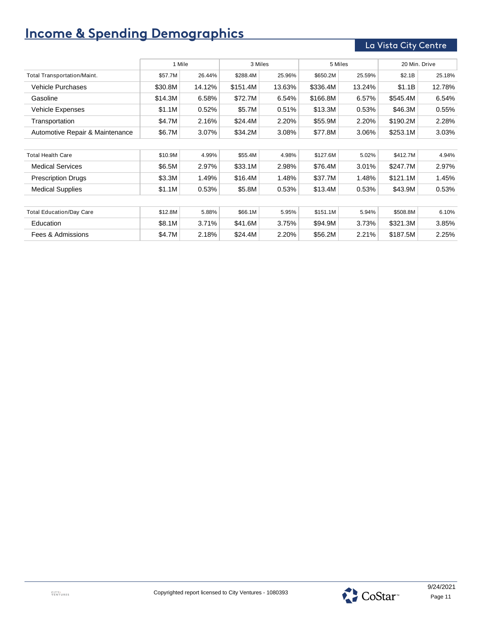# **Income & Spending Demographics**

### La Vista City Centre

|                                 | 1 Mile<br>3 Miles |        |          | 5 Miles |          | 20 Min. Drive |          |        |
|---------------------------------|-------------------|--------|----------|---------|----------|---------------|----------|--------|
| Total Transportation/Maint.     | \$57.7M           | 26.44% | \$288.4M | 25.96%  | \$650.2M | 25.59%        | \$2.1B   | 25.18% |
| <b>Vehicle Purchases</b>        | \$30.8M           | 14.12% | \$151.4M | 13.63%  | \$336.4M | 13.24%        | \$1.1B   | 12.78% |
| Gasoline                        | \$14.3M           | 6.58%  | \$72.7M  | 6.54%   | \$166.8M | 6.57%         | \$545.4M | 6.54%  |
| <b>Vehicle Expenses</b>         | \$1.1M            | 0.52%  | \$5.7M   | 0.51%   | \$13.3M  | 0.53%         | \$46.3M  | 0.55%  |
| Transportation                  | \$4.7M            | 2.16%  | \$24.4M  | 2.20%   | \$55.9M  | 2.20%         | \$190.2M | 2.28%  |
| Automotive Repair & Maintenance | \$6.7M            | 3.07%  | \$34.2M  | 3.08%   | \$77.8M  | 3.06%         | \$253.1M | 3.03%  |
|                                 |                   |        |          |         |          |               |          |        |
| <b>Total Health Care</b>        | \$10.9M           | 4.99%  | \$55.4M  | 4.98%   | \$127.6M | 5.02%         | \$412.7M | 4.94%  |
| <b>Medical Services</b>         | \$6.5M            | 2.97%  | \$33.1M  | 2.98%   | \$76.4M  | 3.01%         | \$247.7M | 2.97%  |
| <b>Prescription Drugs</b>       | \$3.3M            | 1.49%  | \$16.4M  | 1.48%   | \$37.7M  | 1.48%         | \$121.1M | 1.45%  |
| <b>Medical Supplies</b>         | \$1.1M            | 0.53%  | \$5.8M   | 0.53%   | \$13.4M  | 0.53%         | \$43.9M  | 0.53%  |
|                                 |                   |        |          |         |          |               |          |        |
| <b>Total Education/Day Care</b> | \$12.8M           | 5.88%  | \$66.1M  | 5.95%   | \$151.1M | 5.94%         | \$508.8M | 6.10%  |
| Education                       | \$8.1M            | 3.71%  | \$41.6M  | 3.75%   | \$94.9M  | 3.73%         | \$321.3M | 3.85%  |
| Fees & Admissions               | \$4.7M            | 2.18%  | \$24.4M  | 2.20%   | \$56.2M  | 2.21%         | \$187.5M | 2.25%  |